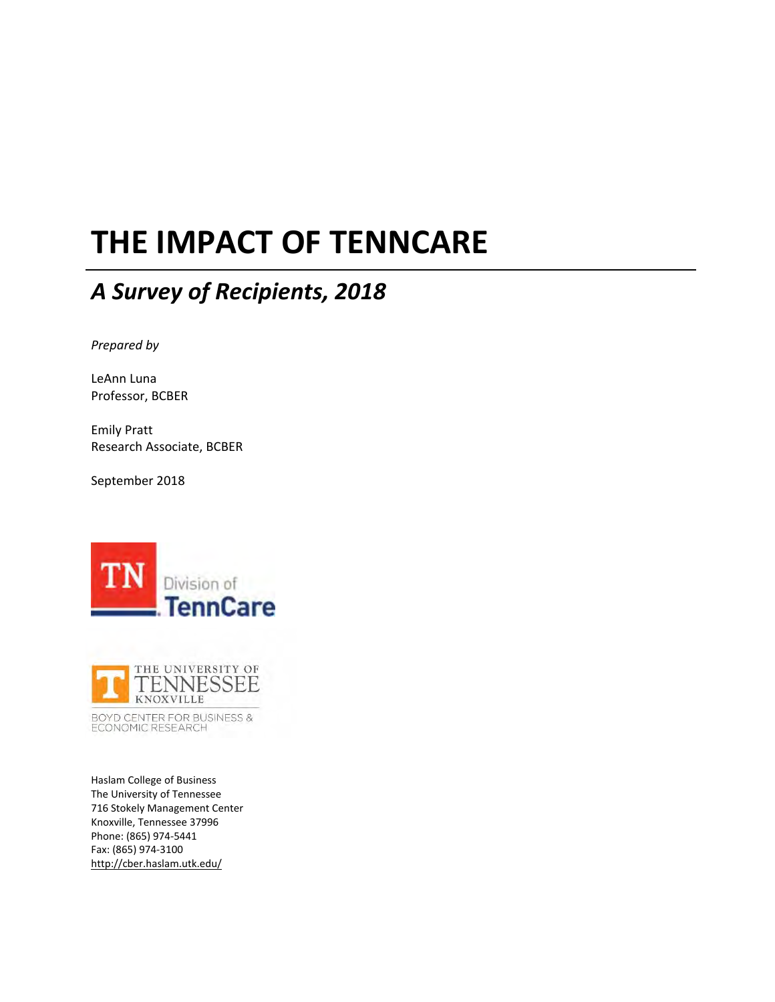# **THE IMPACT OF TENNCARE**

# *A Survey of Recipients, 2018*

*Prepared by*

LeAnn Luna Professor, BCBER

Emily Pratt Research Associate, BCBER

September 2018





BOYD CENTER FOR BUSINESS & ECONOMIC RESEARCH

Haslam College of Business The University of Tennessee 716 Stokely Management Center Knoxville, Tennessee 37996 Phone: (865) 974‐5441 Fax: (865) 974‐3100 [http://cber.haslam.utk.edu/](http://cber.haslam.utk.edu)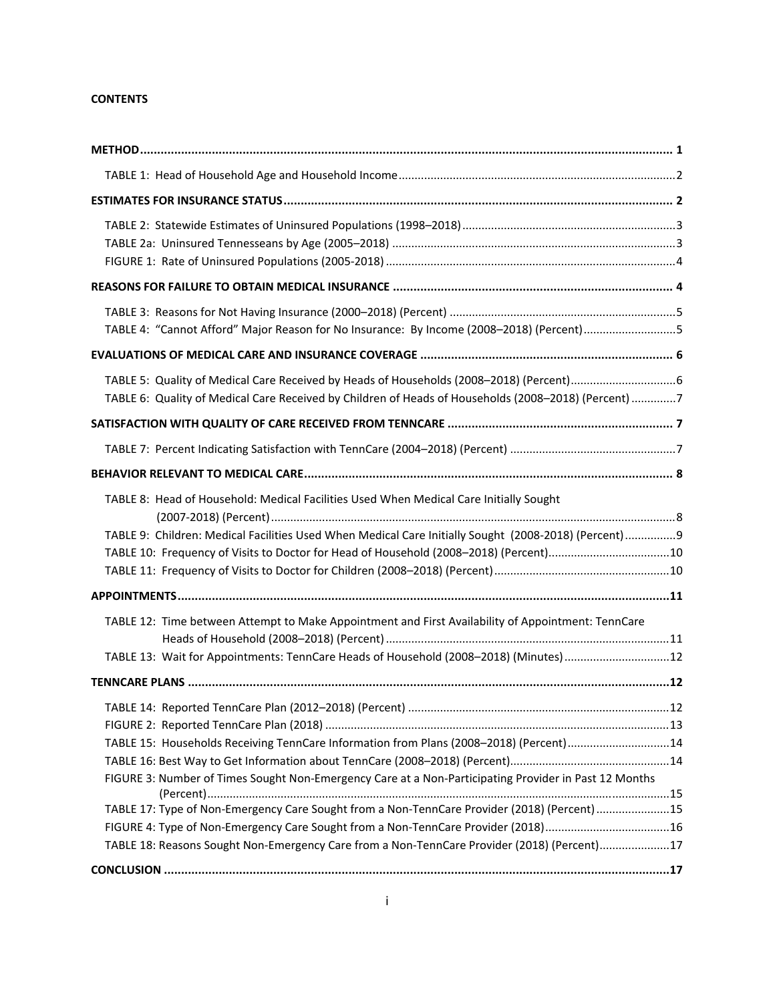#### **CONTENTS**

| TABLE 4: "Cannot Afford" Major Reason for No Insurance: By Income (2008-2018) (Percent)5                                                                                                   |  |
|--------------------------------------------------------------------------------------------------------------------------------------------------------------------------------------------|--|
|                                                                                                                                                                                            |  |
| TABLE 6: Quality of Medical Care Received by Children of Heads of Households (2008-2018) (Percent) 7                                                                                       |  |
|                                                                                                                                                                                            |  |
|                                                                                                                                                                                            |  |
|                                                                                                                                                                                            |  |
| TABLE 8: Head of Household: Medical Facilities Used When Medical Care Initially Sought                                                                                                     |  |
| TABLE 9: Children: Medical Facilities Used When Medical Care Initially Sought (2008-2018) (Percent)9                                                                                       |  |
| TABLE 10: Frequency of Visits to Doctor for Head of Household (2008-2018) (Percent)10                                                                                                      |  |
|                                                                                                                                                                                            |  |
| TABLE 12: Time between Attempt to Make Appointment and First Availability of Appointment: TennCare<br>TABLE 13: Wait for Appointments: TennCare Heads of Household (2008-2018) (Minutes)12 |  |
|                                                                                                                                                                                            |  |
|                                                                                                                                                                                            |  |
| TABLE 15: Households Receiving TennCare Information from Plans (2008-2018) (Percent)14                                                                                                     |  |
|                                                                                                                                                                                            |  |
| FIGURE 3: Number of Times Sought Non-Emergency Care at a Non-Participating Provider in Past 12 Months                                                                                      |  |
| TABLE 17: Type of Non-Emergency Care Sought from a Non-TennCare Provider (2018) (Percent) 15                                                                                               |  |
| FIGURE 4: Type of Non-Emergency Care Sought from a Non-TennCare Provider (2018)16<br>TABLE 18: Reasons Sought Non-Emergency Care from a Non-TennCare Provider (2018) (Percent)17           |  |
|                                                                                                                                                                                            |  |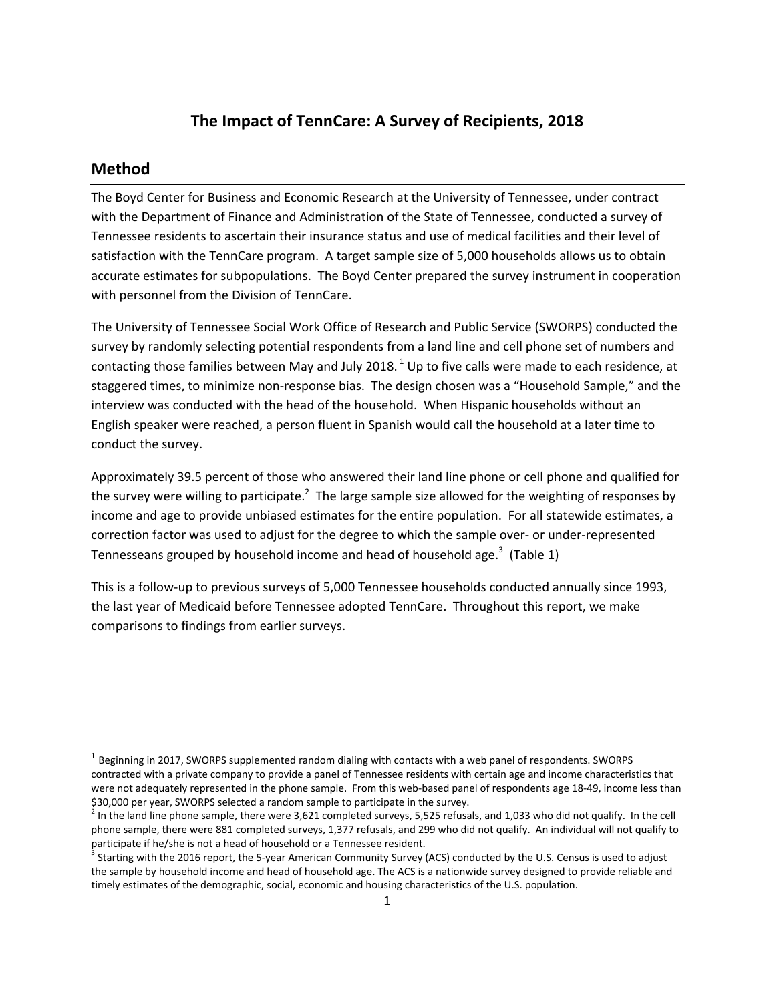#### **The Impact of TennCare: A Survey of Recipients, 2018**

#### **Method**

The Boyd Center for Business and Economic Research at the University of Tennessee, under contract with the Department of Finance and Administration of the State of Tennessee, conducted a survey of Tennessee residents to ascertain their insurance status and use of medical facilities and their level of satisfaction with the TennCare program. A target sample size of 5,000 households allows us to obtain accurate estimates for subpopulations. The Boyd Center prepared the survey instrument in cooperation with personnel from the Division of TennCare.

The University of Tennessee Social Work Office of Research and Public Service (SWORPS) conducted the survey by randomly selecting potential respondents from a land line and cell phone set of numbers and contacting those families between May and July 2018.<sup>1</sup> Up to five calls were made to each residence, at staggered times, to minimize non‐response bias. The design chosen was a "Household Sample," and the interview was conducted with the head of the household. When Hispanic households without an English speaker were reached, a person fluent in Spanish would call the household at a later time to conduct the survey.

Approximately 39.5 percent of those who answered their land line phone or cell phone and qualified for the survey were willing to participate.<sup>2</sup> The large sample size allowed for the weighting of responses by income and age to provide unbiased estimates for the entire population. For all statewide estimates, a correction factor was used to adjust for the degree to which the sample over‐ or under‐represented Tennesseans grouped by household income and head of household age.<sup>3</sup> (Table 1)

This is a follow‐up to previous surveys of 5,000 Tennessee households conducted annually since 1993, the last year of Medicaid before Tennessee adopted TennCare. Throughout this report, we make comparisons to findings from earlier surveys.

 $<sup>1</sup>$  Beginning in 2017, SWORPS supplemented random dialing with contacts with a web panel of respondents. SWORPS</sup> contracted with a private company to provide a panel of Tennessee residents with certain age and income characteristics that were not adequately represented in the phone sample. From this web-based panel of respondents age 18-49, income less than<br>\$30,000 per year, SWORPS selected a random sample to participate in the survey.

<sup>\$30,000</sup> per year, SWORPS selected <sup>a</sup> random sample to participate in the survey. <sup>2</sup> In the land line phone sample, there were 3,621 completed surveys, 5,525 refusals, and 1,033 who did not qualify. In the cell phone sample, there were 881 completed surveys, 1,377 refusals, and 299 who did not qualify. An individual will not qualify to participate if he/she is not a head of household or a Tennessee resident.

<sup>&</sup>lt;sup>3</sup> Starting with the 2016 report, the 5‐year American Community Survey (ACS) conducted by the U.S. Census is used to adjust the sample by household income and head of household age. The ACS is a nationwide survey designed to provide reliable and timely estimates of the demographic, social, economic and housing characteristics of the U.S. population.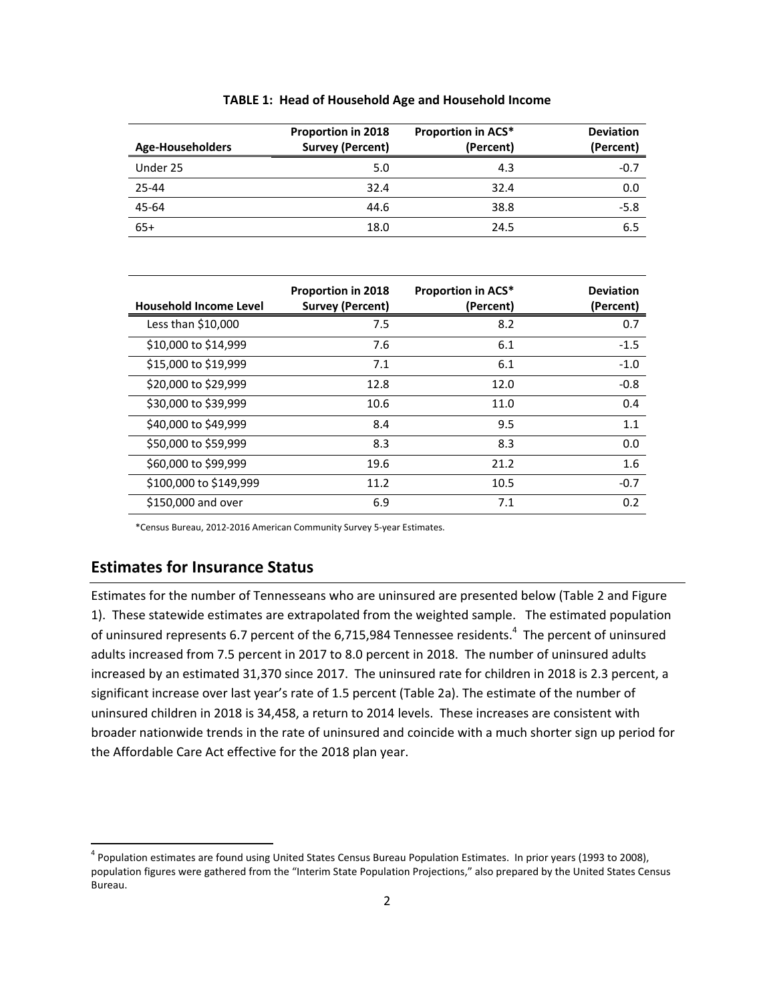| Age-Householders | <b>Proportion in 2018</b><br><b>Survey (Percent)</b> | <b>Proportion in ACS*</b><br>(Percent) | <b>Deviation</b><br>(Percent) |
|------------------|------------------------------------------------------|----------------------------------------|-------------------------------|
| Under 25         | 5.0                                                  | 4.3                                    | $-0.7$                        |
| 25-44            | 32.4                                                 | 32.4                                   | 0.0                           |
| 45-64            | 44.6                                                 | 38.8                                   | $-5.8$                        |
| $65+$            | 18.0                                                 | 24.5                                   | 6.5                           |

**TABLE 1: Head of Household Age and Household Income**

| <b>Household Income Level</b> | <b>Proportion in 2018</b><br><b>Survey (Percent)</b> | <b>Proportion in ACS*</b><br>(Percent) | <b>Deviation</b><br>(Percent) |
|-------------------------------|------------------------------------------------------|----------------------------------------|-------------------------------|
| Less than \$10,000            | 7.5                                                  | 8.2                                    | 0.7                           |
| \$10,000 to \$14,999          | 7.6                                                  | 6.1                                    | $-1.5$                        |
| \$15,000 to \$19,999          | 7.1                                                  | 6.1                                    | $-1.0$                        |
| \$20,000 to \$29,999          | 12.8                                                 | 12.0                                   | $-0.8$                        |
| \$30,000 to \$39,999          | 10.6                                                 | 11.0                                   | 0.4                           |
| \$40,000 to \$49,999          | 8.4                                                  | 9.5                                    | 1.1                           |
| \$50,000 to \$59,999          | 8.3                                                  | 8.3                                    | 0.0                           |
| \$60,000 to \$99,999          | 19.6                                                 | 21.2                                   | 1.6                           |
| \$100,000 to \$149,999        | 11.2                                                 | 10.5                                   | $-0.7$                        |
| \$150,000 and over            | 6.9                                                  | 7.1                                    | 0.2                           |

\*Census Bureau, 2012‐2016 American Community Survey 5‐year Estimates.

# **Estimates for Insurance Status**

Estimates for the number of Tennesseans who are uninsured are presented below (Table 2 and Figure 1). These statewide estimates are extrapolated from the weighted sample. The estimated population of uninsured represents 6.7 percent of the 6,715,984 Tennessee residents.<sup>4</sup> The percent of uninsured adults increased from 7.5 percent in 2017 to 8.0 percent in 2018. The number of uninsured adults increased by an estimated 31,370 since 2017. The uninsured rate for children in 2018 is 2.3 percent, a significant increase over last year's rate of 1.5 percent (Table 2a). The estimate of the number of uninsured children in 2018 is 34,458, a return to 2014 levels. These increases are consistent with broader nationwide trends in the rate of uninsured and coincide with a much shorter sign up period for the Affordable Care Act effective for the 2018 plan year.

 <sup>4</sup> Population estimates are found using United States Census Bureau Population Estimates. In prior years (1993 to 2008), population figures were gathered from the "Interim State Population Projections," also prepared by the United States Census Bureau.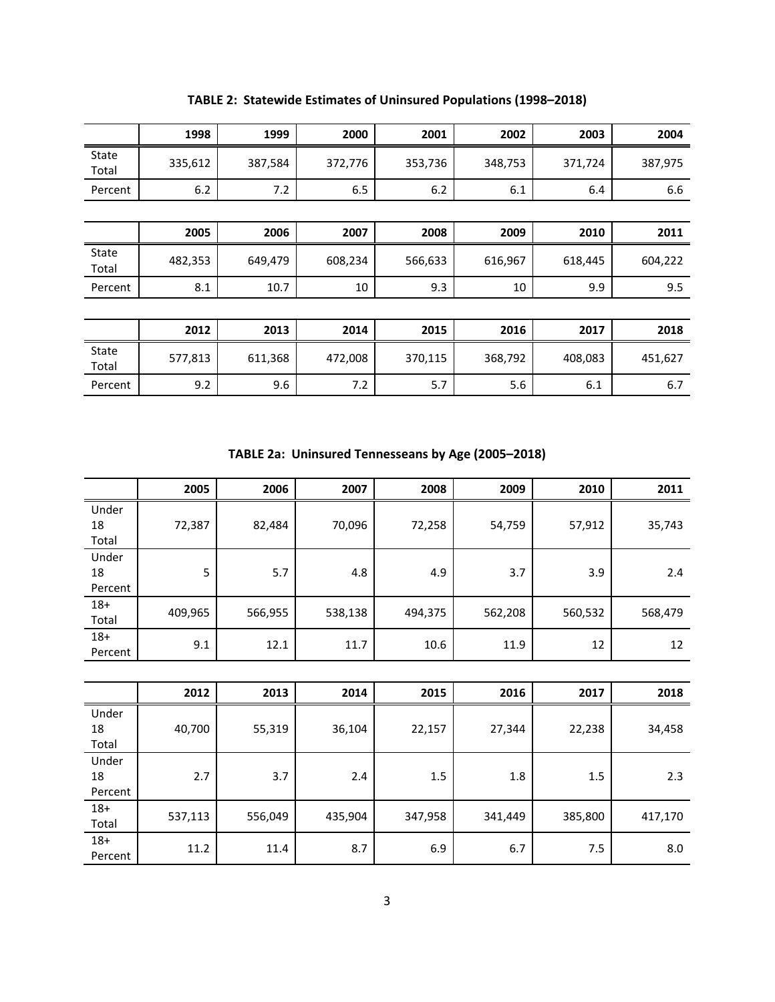|                | 1998    | 1999    | 2000    | 2001    | 2002    | 2003    | 2004    |
|----------------|---------|---------|---------|---------|---------|---------|---------|
| State<br>Total | 335,612 | 387,584 | 372,776 | 353,736 | 348,753 | 371,724 | 387,975 |
| Percent        | 6.2     | 7.2     | 6.5     | 6.2     | 6.1     | 6.4     | 6.6     |
|                |         |         |         |         |         |         |         |
|                | 2005    | 2006    | 2007    | 2008    | 2009    | 2010    | 2011    |
| State<br>Total | 482,353 | 649,479 | 608,234 | 566,633 | 616,967 | 618,445 | 604,222 |
| Percent        | 8.1     | 10.7    | 10      | 9.3     | 10      | 9.9     | 9.5     |
|                |         |         |         |         |         |         |         |
|                | 2012    | 2013    | 2014    | 2015    | 2016    | 2017    | 2018    |
| State<br>Total | 577,813 | 611,368 | 472,008 | 370,115 | 368,792 | 408,083 | 451,627 |
| Percent        | 9.2     | 9.6     | 7.2     | 5.7     | 5.6     | 6.1     | 6.7     |

**TABLE 2: Statewide Estimates of Uninsured Populations (1998–2018)**

**TABLE 2a: Uninsured Tennesseans by Age (2005–2018)**

|                        | 2005    | 2006    | 2007    | 2008    | 2009    | 2010    | 2011    |
|------------------------|---------|---------|---------|---------|---------|---------|---------|
| Under<br>18<br>Total   | 72,387  | 82,484  | 70,096  | 72,258  | 54,759  | 57,912  | 35,743  |
| Under<br>18<br>Percent | 5       | 5.7     | 4.8     | 4.9     | 3.7     | 3.9     | 2.4     |
| $18+$<br>Total         | 409,965 | 566,955 | 538,138 | 494,375 | 562,208 | 560,532 | 568,479 |
| $18+$<br>Percent       | 9.1     | 12.1    | 11.7    | 10.6    | 11.9    | 12      | 12      |

|                        | 2012    | 2013    | 2014    | 2015    | 2016    | 2017    | 2018    |
|------------------------|---------|---------|---------|---------|---------|---------|---------|
| Under<br>18<br>Total   | 40,700  | 55,319  | 36,104  | 22,157  | 27,344  | 22,238  | 34,458  |
| Under<br>18<br>Percent | 2.7     | 3.7     | 2.4     | 1.5     | 1.8     | 1.5     | 2.3     |
| $18+$<br>Total         | 537,113 | 556,049 | 435,904 | 347,958 | 341,449 | 385,800 | 417,170 |
| $18+$<br>Percent       | 11.2    | 11.4    | 8.7     | 6.9     | 6.7     | 7.5     | 8.0     |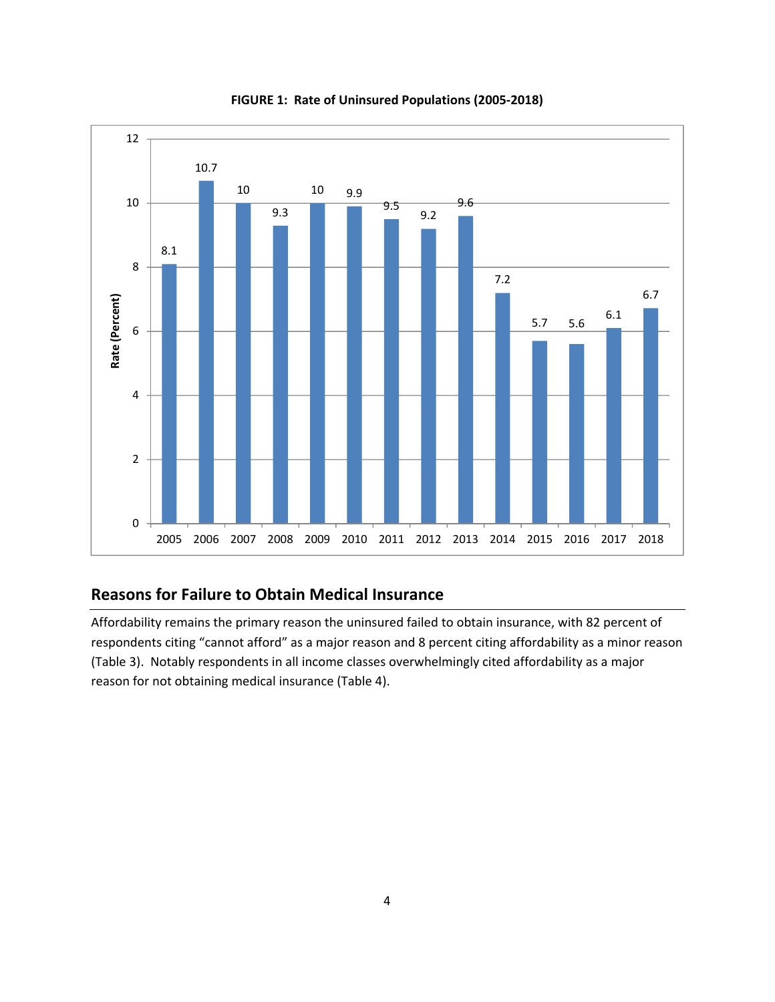

**FIGURE 1: Rate of Uninsured Populations (2005‐2018)**

# **Reasons for Failure to Obtain Medical Insurance**

Affordability remains the primary reason the uninsured failed to obtain insurance, with 82 percent of respondents citing "cannot afford" as a major reason and 8 percent citing affordability as a minor reason (Table 3). Notably respondents in all income classes overwhelmingly cited affordability as a major reason for not obtaining medical insurance (Table 4).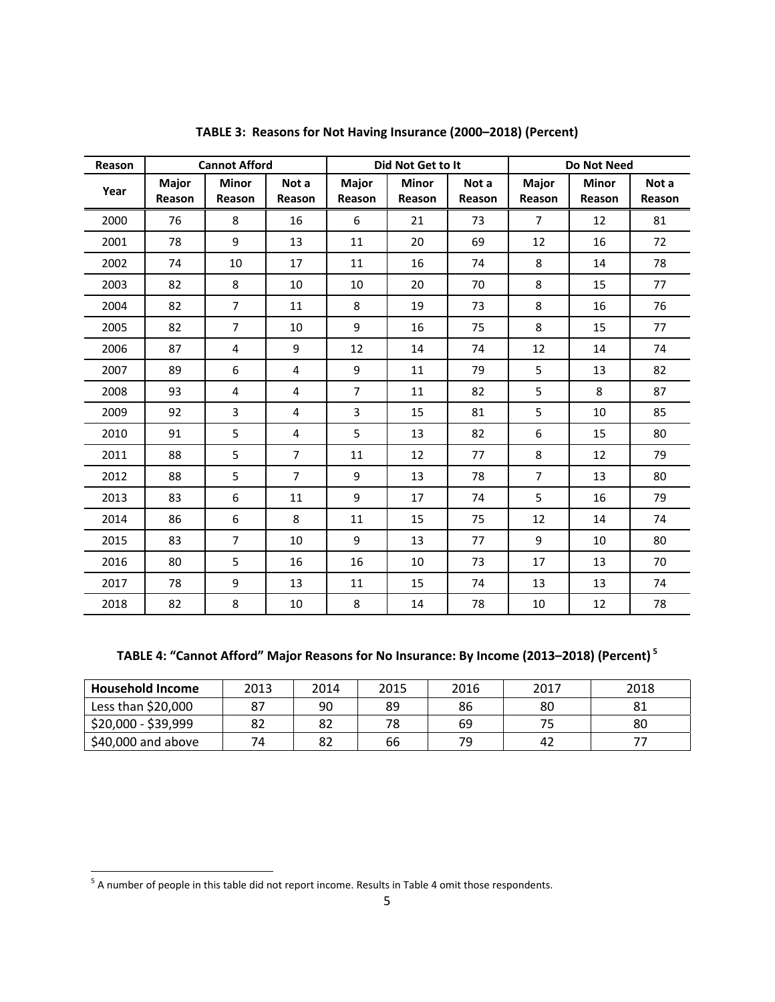| Reason |                 | <b>Cannot Afford</b>   |                 |                 | Did Not Get to It |                 |                 | <b>Do Not Need</b>     |                 |
|--------|-----------------|------------------------|-----------------|-----------------|-------------------|-----------------|-----------------|------------------------|-----------------|
| Year   | Major<br>Reason | <b>Minor</b><br>Reason | Not a<br>Reason | Major<br>Reason | Minor<br>Reason   | Not a<br>Reason | Major<br>Reason | <b>Minor</b><br>Reason | Not a<br>Reason |
| 2000   | 76              | 8                      | 16              | 6               | 21                | 73              | $\overline{7}$  | 12                     | 81              |
| 2001   | 78              | 9                      | 13              | 11              | 20                | 69              | 12              | 16                     | 72              |
| 2002   | 74              | 10                     | 17              | 11              | 16                | 74              | 8               | 14                     | 78              |
| 2003   | 82              | 8                      | 10              | 10              | 20                | 70              | 8               | 15                     | 77              |
| 2004   | 82              | $\overline{7}$         | 11              | 8               | 19                | 73              | 8               | 16                     | 76              |
| 2005   | 82              | $\overline{7}$         | 10              | 9               | 16                | 75              | 8               | 15                     | 77              |
| 2006   | 87              | 4                      | 9               | 12              | 14                | 74              | 12              | 14                     | 74              |
| 2007   | 89              | 6                      | 4               | 9               | 11                | 79              | 5               | 13                     | 82              |
| 2008   | 93              | 4                      | 4               | $\overline{7}$  | 11                | 82              | 5               | 8                      | 87              |
| 2009   | 92              | $\overline{3}$         | 4               | 3               | 15                | 81              | 5               | 10                     | 85              |
| 2010   | 91              | 5                      | 4               | 5               | 13                | 82              | 6               | 15                     | 80              |
| 2011   | 88              | 5                      | $\overline{7}$  | 11              | 12                | 77              | 8               | 12                     | 79              |
| 2012   | 88              | 5                      | $\overline{7}$  | 9               | 13                | 78              | 7               | 13                     | 80              |
| 2013   | 83              | 6                      | 11              | 9               | 17                | 74              | 5               | 16                     | 79              |
| 2014   | 86              | 6                      | 8               | 11              | 15                | 75              | 12              | 14                     | 74              |
| 2015   | 83              | $\overline{7}$         | 10              | 9               | 13                | 77              | 9               | 10                     | 80              |
| 2016   | 80              | 5                      | 16              | 16              | 10                | 73              | 17              | 13                     | 70              |
| 2017   | 78              | 9                      | 13              | 11              | 15                | 74              | 13              | 13                     | 74              |
| 2018   | 82              | 8                      | 10              | 8               | 14                | 78              | 10              | 12                     | 78              |

**TABLE 3: Reasons for Not Having Insurance (2000–2018) (Percent)**

# **TABLE 4: "Cannot Afford" Major Reasons for No Insurance: By Income (2013–2018) (Percent) <sup>5</sup>**

| <b>Household Income</b> | 2013 | 2014 | 2015 | 2016 | 2017 | 2018 |
|-------------------------|------|------|------|------|------|------|
| Less than $$20,000$     |      | 90   | 89   | 86   | 80   | 81   |
| \$20,000 - \$39,999     |      | 82   | 78   | 69   |      | 80   |
| $$40,000$ and above     |      | 82   | 66   | 70   | 42   |      |

 $<sup>5</sup>$  A number of people in this table did not report income. Results in Table 4 omit those respondents.</sup>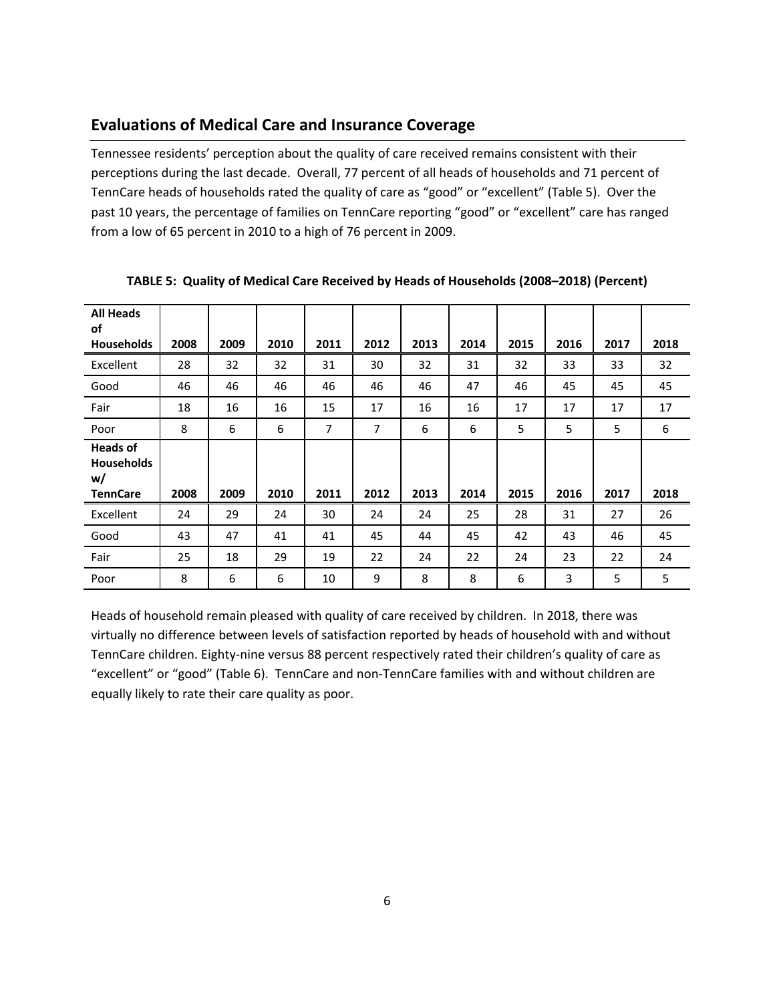#### **Evaluations of Medical Care and Insurance Coverage**

Tennessee residents' perception about the quality of care received remains consistent with their perceptions during the last decade. Overall, 77 percent of all heads of households and 71 percent of TennCare heads of households rated the quality of care as "good" or "excellent" (Table 5). Over the past 10 years, the percentage of families on TennCare reporting "good" or "excellent" care has ranged from a low of 65 percent in 2010 to a high of 76 percent in 2009.

| <b>All Heads</b><br>of<br><b>Households</b>                   | 2008 | 2009 | 2010 | 2011 | 2012 | 2013 | 2014 | 2015 | 2016 | 2017 | 2018 |
|---------------------------------------------------------------|------|------|------|------|------|------|------|------|------|------|------|
| Excellent                                                     | 28   | 32   | 32   | 31   | 30   | 32   | 31   | 32   | 33   | 33   | 32   |
| Good                                                          | 46   | 46   | 46   | 46   | 46   | 46   | 47   | 46   | 45   | 45   | 45   |
| Fair                                                          | 18   | 16   | 16   | 15   | 17   | 16   | 16   | 17   | 17   | 17   | 17   |
| Poor                                                          | 8    | 6    | 6    | 7    | 7    | 6    | 6    | 5    | 5    | 5    | 6    |
| <b>Heads of</b><br><b>Households</b><br>w/<br><b>TennCare</b> | 2008 | 2009 | 2010 | 2011 | 2012 | 2013 | 2014 | 2015 | 2016 | 2017 | 2018 |
| Excellent                                                     | 24   | 29   | 24   | 30   | 24   | 24   | 25   | 28   | 31   | 27   | 26   |
| Good                                                          | 43   | 47   | 41   | 41   | 45   | 44   | 45   | 42   | 43   | 46   | 45   |
| Fair                                                          | 25   | 18   | 29   | 19   | 22   | 24   | 22   | 24   | 23   | 22   | 24   |
| Poor                                                          | 8    | 6    | 6    | 10   | 9    | 8    | 8    | 6    | 3    | 5    | 5    |

**TABLE 5: Quality of Medical Care Received by Heads of Households (2008–2018) (Percent)**

Heads of household remain pleased with quality of care received by children. In 2018, there was virtually no difference between levels of satisfaction reported by heads of household with and without TennCare children. Eighty-nine versus 88 percent respectively rated their children's quality of care as "excellent" or "good" (Table 6). TennCare and non‐TennCare families with and without children are equally likely to rate their care quality as poor.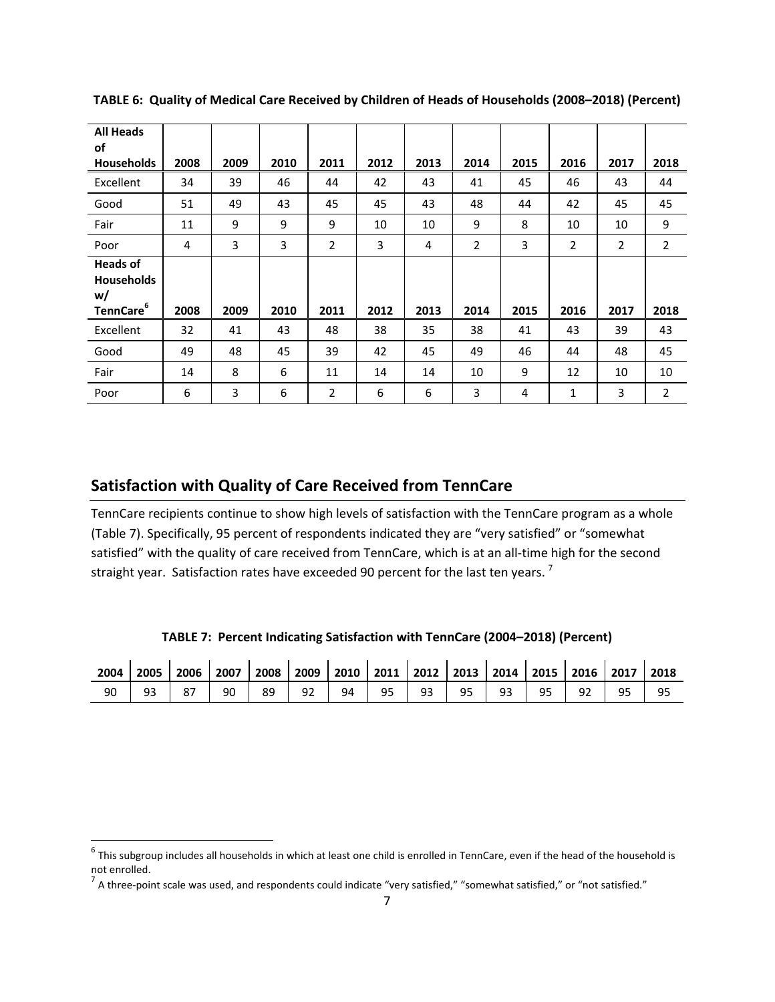| <b>All Heads</b><br>of                                              |      |      |      |                |      |      |      |      |      |      |                |
|---------------------------------------------------------------------|------|------|------|----------------|------|------|------|------|------|------|----------------|
| Households                                                          | 2008 | 2009 | 2010 | 2011           | 2012 | 2013 | 2014 | 2015 | 2016 | 2017 | 2018           |
| Excellent                                                           | 34   | 39   | 46   | 44             | 42   | 43   | 41   | 45   | 46   | 43   | 44             |
| Good                                                                | 51   | 49   | 43   | 45             | 45   | 43   | 48   | 44   | 42   | 45   | 45             |
| Fair                                                                | 11   | 9    | 9    | 9              | 10   | 10   | 9    | 8    | 10   | 10   | 9              |
| Poor                                                                | 4    | 3    | 3    | $\overline{2}$ | 3    | 4    | 2    | 3    | 2    | 2    | $\overline{2}$ |
| <b>Heads of</b><br><b>Households</b><br>w/<br>TennCare <sup>6</sup> | 2008 | 2009 | 2010 | 2011           | 2012 | 2013 | 2014 | 2015 | 2016 | 2017 | 2018           |
| Excellent                                                           | 32   | 41   | 43   | 48             | 38   | 35   | 38   | 41   | 43   | 39   | 43             |
| Good                                                                | 49   | 48   | 45   | 39             | 42   | 45   | 49   | 46   | 44   | 48   | 45             |
| Fair                                                                | 14   | 8    | 6    | 11             | 14   | 14   | 10   | 9    | 12   | 10   | 10             |
| Poor                                                                | 6    | 3    | 6    | $\overline{2}$ | 6    | 6    | 3    | 4    | 1    | 3    | $\overline{2}$ |

**TABLE 6: Quality of Medical Care Received by Children of Heads of Households (2008–2018) (Percent)**

#### **Satisfaction with Quality of Care Received from TennCare**

TennCare recipients continue to show high levels of satisfaction with the TennCare program as a whole (Table 7). Specifically, 95 percent of respondents indicated they are "very satisfied" or "somewhat satisfied" with the quality of care received from TennCare, which is at an all-time high for the second straight year. Satisfaction rates have exceeded 90 percent for the last ten years.  $^7$ 

**TABLE 7: Percent Indicating Satisfaction with TennCare (2004–2018) (Percent)**

| 2004 | 2005            | 2006 | 2007 | 2008 | 2009 | 2010 | 2011 | 2012 | 2013 | 2014 | 2015 | 2016 | 2017 | 2018 |
|------|-----------------|------|------|------|------|------|------|------|------|------|------|------|------|------|
| 90   | ۵ą<br><b>JJ</b> | 87   | 90   | 89   | 92   | 94   | 95   | 93   | 95   | 93   | 95   |      | ∩⊏   | 95   |

 $^6$  This subgroup includes all households in which at least one child is enrolled in TennCare, even if the head of the household is not enrolled.<br><sup>7</sup> A three-point scale was used, and respondents could indicate "very satisfied," "somewhat satisfied," or "not satisfied."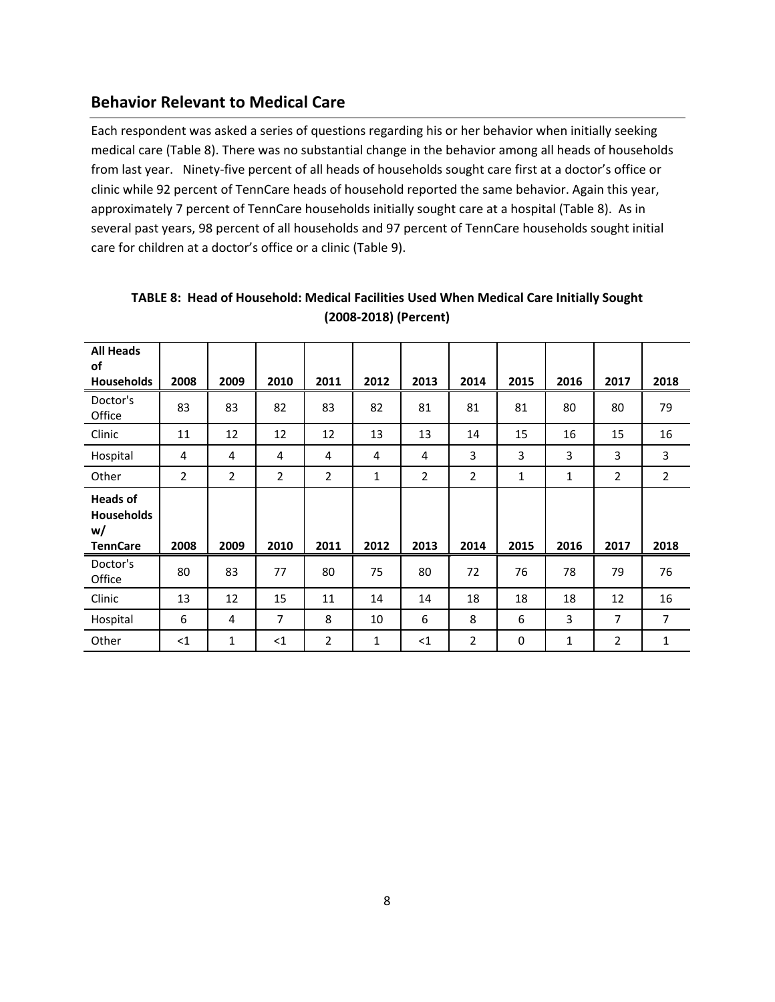#### **Behavior Relevant to Medical Care**

Each respondent was asked a series of questions regarding his or her behavior when initially seeking medical care (Table 8). There was no substantial change in the behavior among all heads of households from last year. Ninety-five percent of all heads of households sought care first at a doctor's office or clinic while 92 percent of TennCare heads of household reported the same behavior. Again this year, approximately 7 percent of TennCare households initially sought care at a hospital (Table 8). As in several past years, 98 percent of all households and 97 percent of TennCare households sought initial care for children at a doctor's office or a clinic (Table 9).

| <b>All Heads</b><br>of<br><b>Households</b>            | 2008           | 2009           | 2010           | 2011           | 2012         | 2013           | 2014           | 2015        | 2016 | 2017           | 2018           |
|--------------------------------------------------------|----------------|----------------|----------------|----------------|--------------|----------------|----------------|-------------|------|----------------|----------------|
| Doctor's<br>Office                                     | 83             | 83             | 82             | 83             | 82           | 81             | 81             | 81          | 80   | 80             | 79             |
| Clinic                                                 | 11             | 12             | 12             | 12             | 13           | 13             | 14             | 15          | 16   | 15             | 16             |
| Hospital                                               | 4              | 4              | 4              | 4              | 4            | 4              | 3              | 3           | 3    | 3              | 3              |
| Other                                                  | $\overline{2}$ | $\overline{2}$ | $\overline{2}$ | $\overline{2}$ | 1            | $\overline{2}$ | $\overline{2}$ | 1           | 1    | $\overline{2}$ | $\overline{2}$ |
| <b>Heads of</b><br>Households<br>w/<br><b>TennCare</b> | 2008           | 2009           | 2010           | 2011           | 2012         | 2013           | 2014           | 2015        | 2016 | 2017           | 2018           |
| Doctor's<br>Office                                     | 80             | 83             | 77             | 80             | 75           | 80             | 72             | 76          | 78   | 79             | 76             |
| Clinic                                                 | 13             | 12             | 15             | 11             | 14           | 14             | 18             | 18          | 18   | 12             | 16             |
| Hospital                                               | 6              | 4              | $\overline{7}$ | 8              | 10           | 6              | 8              | 6           | 3    | $\overline{7}$ | $\overline{7}$ |
| Other                                                  | <1             | 1              | $<$ 1          | $\overline{2}$ | $\mathbf{1}$ | $<$ 1          | 2              | $\mathbf 0$ | 1    | 2              | 1              |

**TABLE 8: Head of Household: Medical Facilities Used When Medical Care Initially Sought (2008‐2018) (Percent)**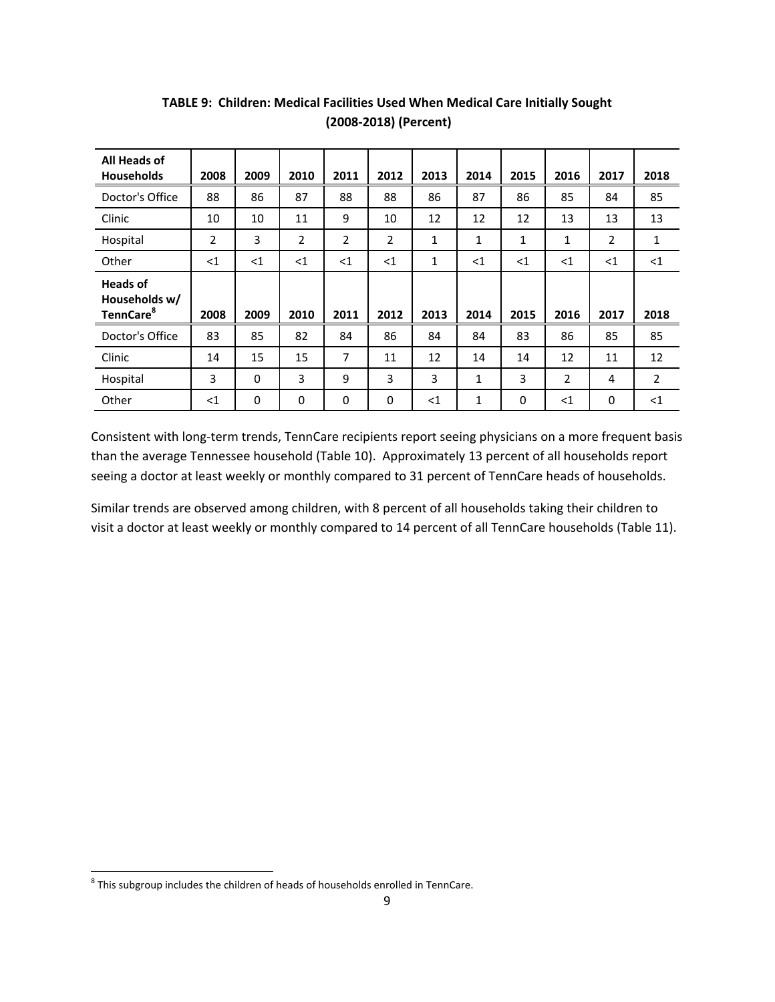| All Heads of<br><b>Households</b>                         | 2008           | 2009     | 2010           | 2011           | 2012           | 2013  | 2014 | 2015     | 2016           | 2017           | 2018           |
|-----------------------------------------------------------|----------------|----------|----------------|----------------|----------------|-------|------|----------|----------------|----------------|----------------|
| Doctor's Office                                           | 88             | 86       | 87             | 88             | 88             | 86    | 87   | 86       | 85             | 84             | 85             |
| Clinic                                                    | 10             | 10       | 11             | 9              | 10             | 12    | 12   | 12       | 13             | 13             | 13             |
| Hospital                                                  | $\overline{2}$ | 3        | $\overline{2}$ | $\overline{2}$ | $\overline{2}$ | 1     | 1    | 1        | 1              | $\overline{2}$ | $\mathbf{1}$   |
| Other                                                     | $\leq$ 1       | $\leq$ 1 | <1             | $<$ 1          | <1             | 1     | <1   | $<$ 1    | <1             | <1             | <1             |
| <b>Heads of</b><br>Households w/<br>TennCare <sup>8</sup> | 2008           | 2009     | 2010           | 2011           | 2012           | 2013  | 2014 | 2015     | 2016           | 2017           | 2018           |
| Doctor's Office                                           | 83             | 85       | 82             | 84             | 86             | 84    | 84   | 83       | 86             | 85             | 85             |
| Clinic                                                    | 14             | 15       | 15             | 7              | 11             | 12    | 14   | 14       | 12             | 11             | 12             |
| Hospital                                                  | 3              | $\Omega$ | 3              | 9              | 3              | 3     | 1    | 3        | $\overline{2}$ | 4              | $\overline{2}$ |
| Other                                                     | $<$ 1          | $\Omega$ | $\mathbf 0$    | 0              | $\Omega$       | $<$ 1 | 1    | $\Omega$ | $<$ 1          | 0              | $<$ 1          |

**TABLE 9: Children: Medical Facilities Used When Medical Care Initially Sought (2008‐2018) (Percent)**

Consistent with long‐term trends, TennCare recipients report seeing physicians on a more frequent basis than the average Tennessee household (Table 10). Approximately 13 percent of all households report seeing a doctor at least weekly or monthly compared to 31 percent of TennCare heads of households.

Similar trends are observed among children, with 8 percent of all households taking their children to visit a doctor at least weekly or monthly compared to 14 percent of all TennCare households (Table 11).

 $^8$  This subgroup includes the children of heads of households enrolled in TennCare.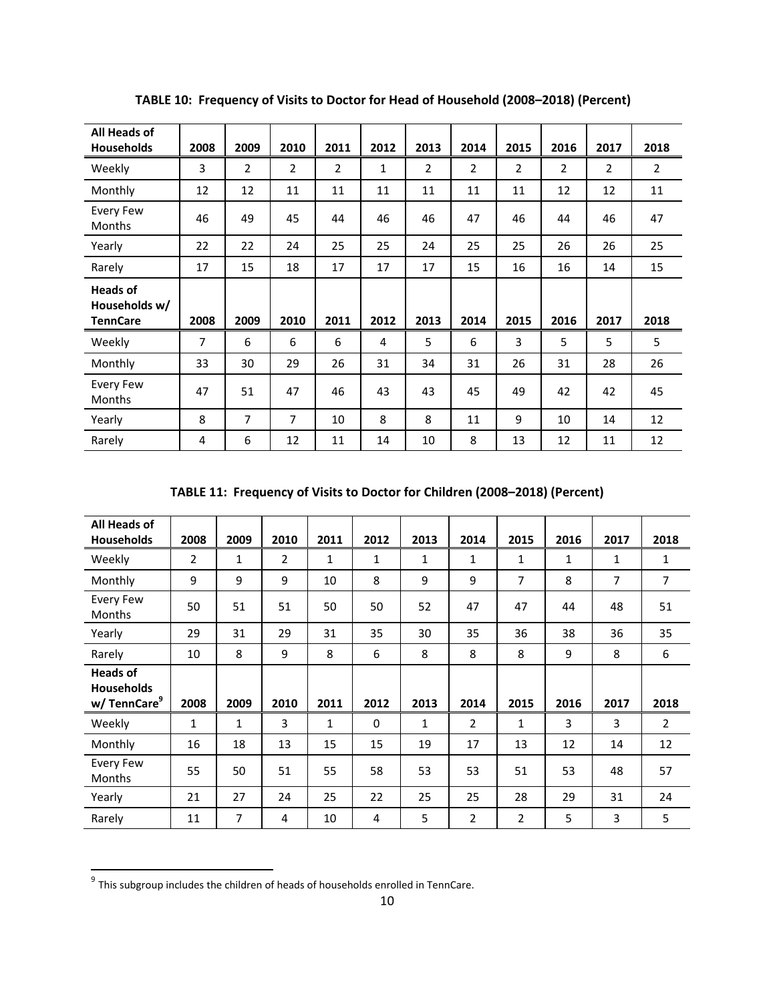| All Heads of<br><b>Households</b>                   | 2008           | 2009           | 2010           | 2011           | 2012         | 2013           | 2014           | 2015           | 2016           | 2017           | 2018           |
|-----------------------------------------------------|----------------|----------------|----------------|----------------|--------------|----------------|----------------|----------------|----------------|----------------|----------------|
| Weekly                                              | 3              | $\overline{2}$ | $\overline{2}$ | $\overline{2}$ | $\mathbf{1}$ | $\overline{2}$ | $\overline{2}$ | $\overline{2}$ | $\overline{2}$ | $\overline{2}$ | $\overline{2}$ |
| Monthly                                             | 12             | 12             | 11             | 11             | 11           | 11             | 11             | 11             | 12             | 12             | 11             |
| <b>Every Few</b><br><b>Months</b>                   | 46             | 49             | 45             | 44             | 46           | 46             | 47             | 46             | 44             | 46             | 47             |
| Yearly                                              | 22             | 22             | 24             | 25             | 25           | 24             | 25             | 25             | 26             | 26             | 25             |
| Rarely                                              | 17             | 15             | 18             | 17             | 17           | 17             | 15             | 16             | 16             | 14             | 15             |
| <b>Heads of</b><br>Households w/<br><b>TennCare</b> | 2008           | 2009           | 2010           | 2011           | 2012         | 2013           | 2014           | 2015           | 2016           | 2017           | 2018           |
| Weekly                                              | $\overline{7}$ | 6              | 6              | 6              | 4            | 5              | 6              | 3              | 5              | 5              | 5              |
| Monthly                                             | 33             | 30             | 29             | 26             | 31           | 34             | 31             | 26             | 31             | 28             | 26             |
| <b>Every Few</b><br>Months                          | 47             | 51             | 47             | 46             | 43           | 43             | 45             | 49             | 42             | 42             | 45             |
| Yearly                                              | 8              | $\overline{7}$ | $\overline{7}$ | 10             | 8            | 8              | 11             | 9              | 10             | 14             | 12             |
| Rarely                                              | 4              | 6              | 12             | 11             | 14           | 10             | 8              | 13             | 12             | 11             | 12             |

**TABLE 10: Frequency of Visits to Doctor for Head of Household (2008–2018) (Percent)**

**TABLE 11: Frequency of Visits to Doctor for Children (2008–2018) (Percent)**

| All Heads of<br><b>Households</b>                               | 2008           | 2009         | 2010           | 2011         | 2012     | 2013         | 2014           | 2015           | 2016 | 2017           | 2018           |
|-----------------------------------------------------------------|----------------|--------------|----------------|--------------|----------|--------------|----------------|----------------|------|----------------|----------------|
| Weekly                                                          | $\overline{2}$ | $\mathbf{1}$ | $\overline{2}$ | $\mathbf{1}$ | 1        | 1            | 1              | 1              | 1    | $\mathbf{1}$   | $\mathbf{1}$   |
| Monthly                                                         | 9              | 9            | 9              | 10           | 8        | 9            | 9              | $\overline{7}$ | 8    | $\overline{7}$ | 7              |
| <b>Every Few</b><br><b>Months</b>                               | 50             | 51           | 51             | 50           | 50       | 52           | 47             | 47             | 44   | 48             | 51             |
| Yearly                                                          | 29             | 31           | 29             | 31           | 35       | 30           | 35             | 36             | 38   | 36             | 35             |
| Rarely                                                          | 10             | 8            | 9              | 8            | 6        | 8            | 8              | 8              | 9    | 8              | 6              |
| <b>Heads of</b><br><b>Households</b><br>w/TennCare <sup>9</sup> | 2008           | 2009         | 2010           | 2011         | 2012     | 2013         | 2014           | 2015           | 2016 | 2017           | 2018           |
| Weekly                                                          | $\mathbf{1}$   | $\mathbf{1}$ | 3              | $\mathbf{1}$ | $\Omega$ | $\mathbf{1}$ | $\overline{2}$ | $\mathbf{1}$   | 3    | $\overline{3}$ | $\overline{2}$ |
| Monthly                                                         | 16             | 18           | 13             | 15           | 15       | 19           | 17             | 13             | 12   | 14             | 12             |
| Every Few<br><b>Months</b>                                      | 55             | 50           | 51             | 55           | 58       | 53           | 53             | 51             | 53   | 48             | 57             |
| Yearly                                                          | 21             | 27           | 24             | 25           | 22       | 25           | 25             | 28             | 29   | 31             | 24             |
| Rarely                                                          | 11             | 7            | 4              | 10           | 4        | 5            | $\overline{2}$ | $\overline{2}$ | 5    | $\overline{3}$ | 5              |

 $^9$  This subgroup includes the children of heads of households enrolled in TennCare.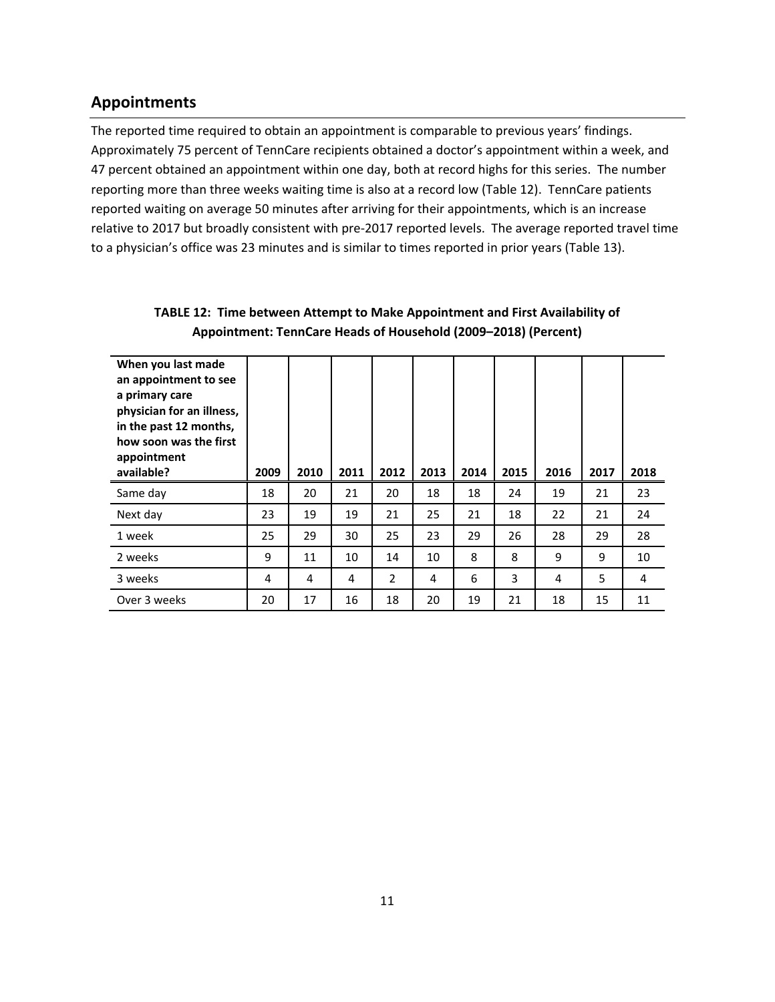# **Appointments**

The reported time required to obtain an appointment is comparable to previous years' findings. Approximately 75 percent of TennCare recipients obtained a doctor's appointment within a week, and 47 percent obtained an appointment within one day, both at record highs for this series. The number reporting more than three weeks waiting time is also at a record low (Table 12). TennCare patients reported waiting on average 50 minutes after arriving for their appointments, which is an increase relative to 2017 but broadly consistent with pre‐2017 reported levels. The average reported travel time to a physician's office was 23 minutes and is similar to times reported in prior years (Table 13).

| When you last made<br>an appointment to see<br>a primary care<br>physician for an illness,<br>in the past 12 months,<br>how soon was the first<br>appointment<br>available? | 2009 | 2010 | 2011 | 2012           | 2013 | 2014 | 2015 | 2016 | 2017 | 2018 |
|-----------------------------------------------------------------------------------------------------------------------------------------------------------------------------|------|------|------|----------------|------|------|------|------|------|------|
| Same day                                                                                                                                                                    | 18   | 20   | 21   | 20             | 18   | 18   | 24   | 19   | 21   | 23   |
| Next day                                                                                                                                                                    | 23   | 19   | 19   | 21             | 25   | 21   | 18   | 22   | 21   | 24   |
| 1 week                                                                                                                                                                      | 25   | 29   | 30   | 25             | 23   | 29   | 26   | 28   | 29   | 28   |
| 2 weeks                                                                                                                                                                     | 9    | 11   | 10   | 14             | 10   | 8    | 8    | 9    | 9    | 10   |
| 3 weeks                                                                                                                                                                     | 4    | 4    | 4    | $\overline{2}$ | 4    | 6    | 3    | 4    | 5    | 4    |
| Over 3 weeks                                                                                                                                                                | 20   | 17   | 16   | 18             | 20   | 19   | 21   | 18   | 15   | 11   |

#### **TABLE 12: Time between Attempt to Make Appointment and First Availability of Appointment: TennCare Heads of Household (2009–2018) (Percent)**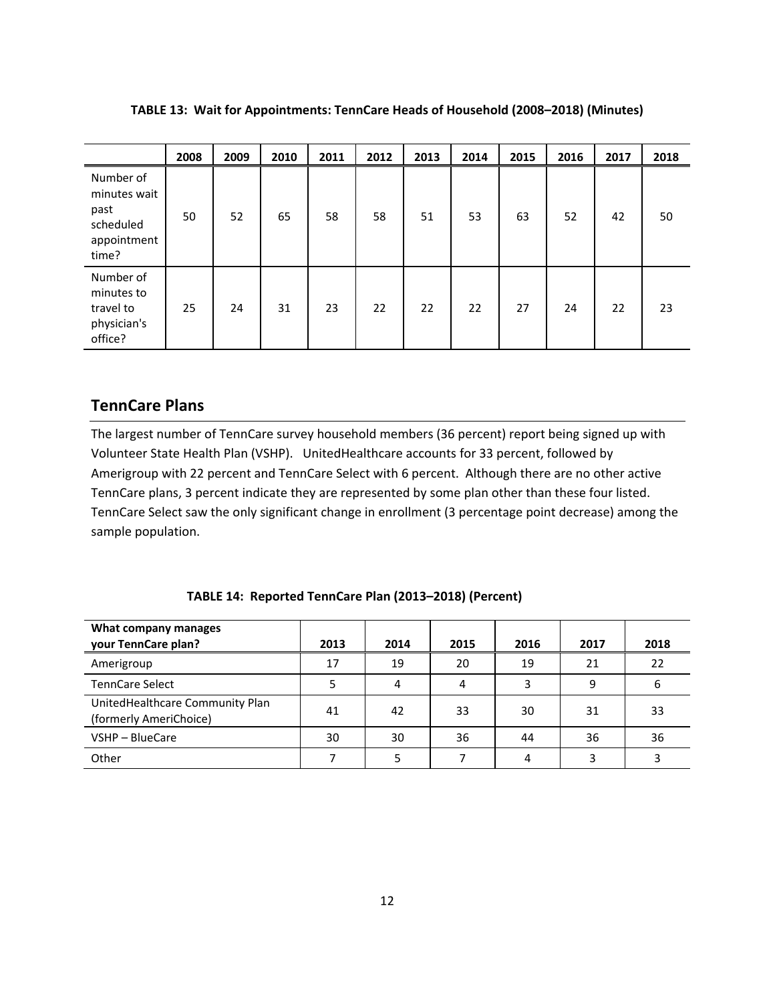|                                                                        | 2008 | 2009 | 2010 | 2011 | 2012 | 2013 | 2014 | 2015 | 2016 | 2017 | 2018 |
|------------------------------------------------------------------------|------|------|------|------|------|------|------|------|------|------|------|
| Number of<br>minutes wait<br>past<br>scheduled<br>appointment<br>time? | 50   | 52   | 65   | 58   | 58   | 51   | 53   | 63   | 52   | 42   | 50   |
| Number of<br>minutes to<br>travel to<br>physician's<br>office?         | 25   | 24   | 31   | 23   | 22   | 22   | 22   | 27   | 24   | 22   | 23   |

**TABLE 13: Wait for Appointments: TennCare Heads of Household (2008–2018) (Minutes)**

#### **TennCare Plans**

The largest number of TennCare survey household members (36 percent) report being signed up with Volunteer State Health Plan (VSHP). UnitedHealthcare accounts for 33 percent, followed by Amerigroup with 22 percent and TennCare Select with 6 percent. Although there are no other active TennCare plans, 3 percent indicate they are represented by some plan other than these four listed. TennCare Select saw the only significant change in enrollment (3 percentage point decrease) among the sample population.

#### **TABLE 14: Reported TennCare Plan (2013–2018) (Percent)**

| What company manages<br>your TennCare plan?               | 2013 | 2014 | 2015 | 2016 | 2017 | 2018 |
|-----------------------------------------------------------|------|------|------|------|------|------|
| Amerigroup                                                | 17   | 19   | 20   | 19   | 21   | 22   |
| <b>TennCare Select</b>                                    | 5    | 4    | 4    | 3    | 9    | 6    |
| UnitedHealthcare Community Plan<br>(formerly AmeriChoice) | 41   | 42   | 33   | 30   | 31   | 33   |
| VSHP - BlueCare                                           | 30   | 30   | 36   | 44   | 36   | 36   |
| Other                                                     |      | 5    |      | 4    | 3    |      |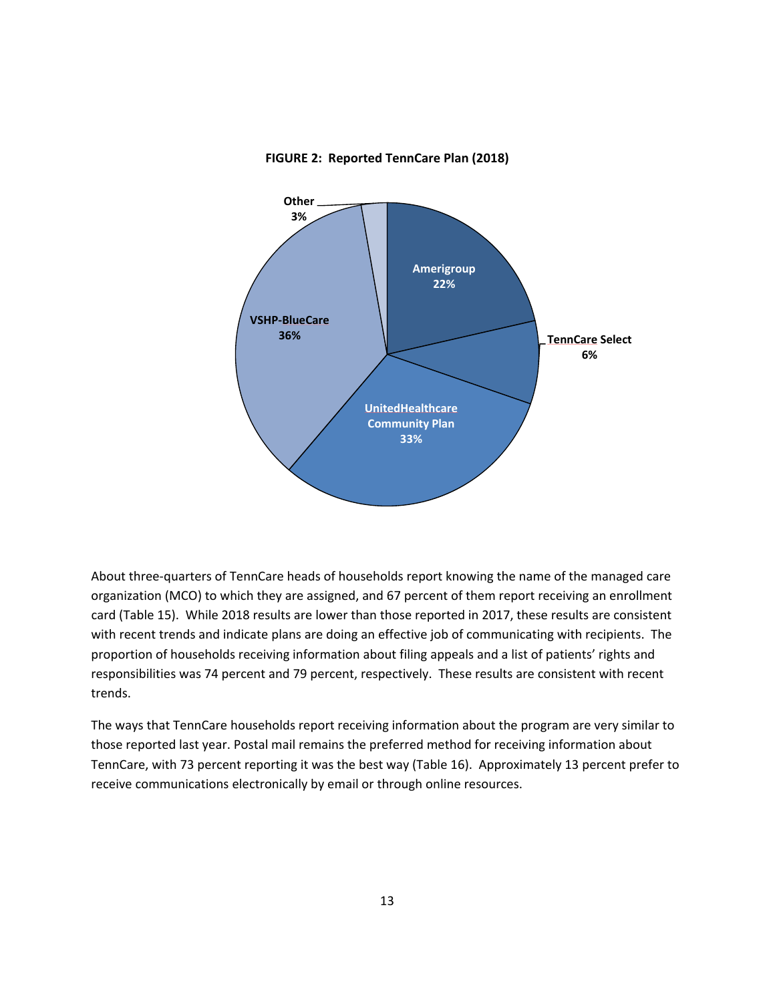

#### **FIGURE 2: Reported TennCare Plan (2018)**

About three‐quarters of TennCare heads of households report knowing the name of the managed care organization (MCO) to which they are assigned, and 67 percent of them report receiving an enrollment card (Table 15). While 2018 results are lower than those reported in 2017, these results are consistent with recent trends and indicate plans are doing an effective job of communicating with recipients. The proportion of households receiving information about filing appeals and a list of patients' rights and responsibilities was 74 percent and 79 percent, respectively. These results are consistent with recent trends.

The ways that TennCare households report receiving information about the program are very similar to those reported last year. Postal mail remains the preferred method for receiving information about TennCare, with 73 percent reporting it was the best way (Table 16). Approximately 13 percent prefer to receive communications electronically by email or through online resources.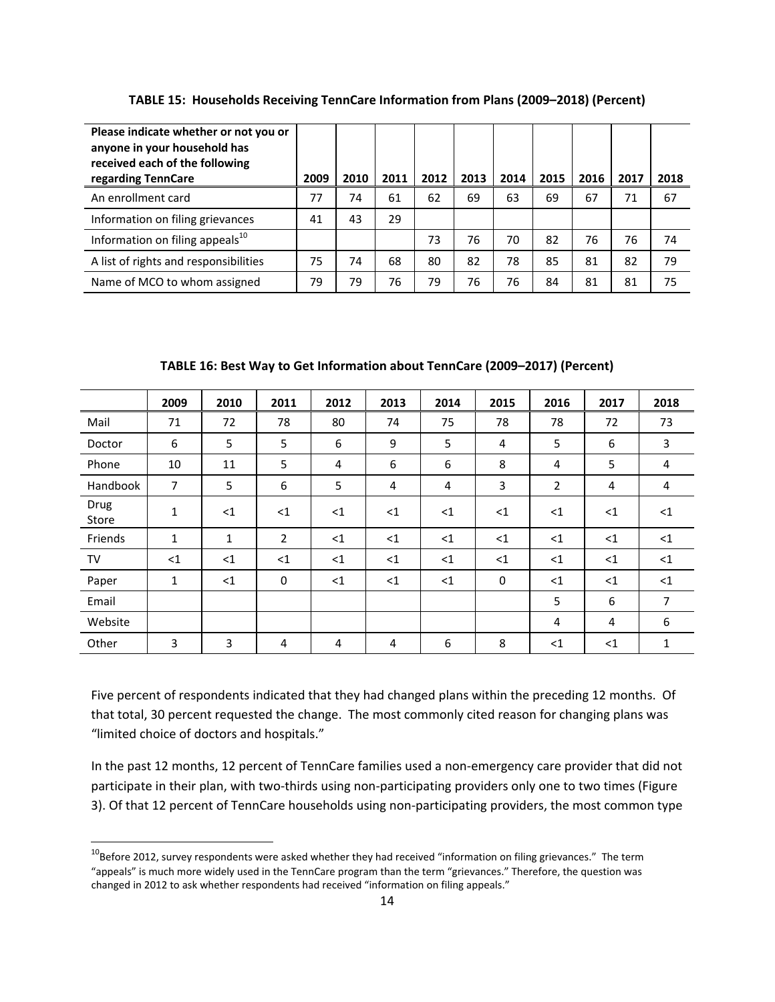| Please indicate whether or not you or<br>anyone in your household has<br>received each of the following<br>regarding TennCare | 2009 | 2010 | 2011 | 2012 | 2013 | 2014 | 2015 | 2016 | 2017 | 2018 |
|-------------------------------------------------------------------------------------------------------------------------------|------|------|------|------|------|------|------|------|------|------|
| An enrollment card                                                                                                            | 77   | 74   | 61   | 62   | 69   | 63   | 69   | 67   | 71   | 67   |
| Information on filing grievances                                                                                              | 41   | 43   | 29   |      |      |      |      |      |      |      |
| Information on filing appeals <sup>10</sup>                                                                                   |      |      |      | 73   | 76   | 70   | 82   | 76   | 76   | 74   |
| A list of rights and responsibilities                                                                                         | 75   | 74   | 68   | 80   | 82   | 78   | 85   | 81   | 82   | 79   |
| Name of MCO to whom assigned                                                                                                  | 79   | 79   | 76   | 79   | 76   | 76   | 84   | 81   | 81   | 75   |

**TABLE 15: Households Receiving TennCare Information from Plans (2009–2018) (Percent)**

**TABLE 16: Best Way to Get Information about TennCare (2009–2017) (Percent)**

|               | 2009           | 2010         | 2011           | 2012     | 2013  | 2014     | 2015           | 2016           | 2017  | 2018     |
|---------------|----------------|--------------|----------------|----------|-------|----------|----------------|----------------|-------|----------|
| Mail          | 71             | 72           | 78             | 80       | 74    | 75       | 78             | 78             | 72    | 73       |
| Doctor        | 6              | 5            | 5              | 6        | 9     | 5        | $\overline{4}$ | 5              | 6     | 3        |
| Phone         | 10             | 11           | 5              | 4        | 6     | 6        | 8              | 4              | 5     | 4        |
| Handbook      | $\overline{7}$ | 5            | 6              | 5        | 4     | 4        | 3              | $\overline{2}$ | 4     | 4        |
| Drug<br>Store | 1              | <1           | $<$ 1          | $\leq$ 1 | $<$ 1 | $<$ 1    | <1             | $<$ 1          | <1    | $\leq$ 1 |
| Friends       | $\mathbf{1}$   | $\mathbf{1}$ | $\overline{2}$ | $\leq 1$ | $<$ 1 | $\leq 1$ | <1             | $\leq$ 1       | <1    | $\leq$ 1 |
| TV            | <1             | <1           | $<$ 1          | $\leq 1$ | $<$ 1 | $<$ 1    | $<$ 1          | $<$ 1          | $<$ 1 | $<$ 1    |
| Paper         | 1              | <1           | $\mathbf{0}$   | $<$ 1    | $<$ 1 | $<$ 1    | $\mathbf 0$    | $<$ 1          | $<$ 1 | $<$ 1    |
| Email         |                |              |                |          |       |          |                | 5              | 6     | 7        |
| Website       |                |              |                |          |       |          |                | 4              | 4     | 6        |
| Other         | 3              | 3            | $\overline{4}$ | 4        | 4     | 6        | 8              | <1             | $<$ 1 | 1        |

Five percent of respondents indicated that they had changed plans within the preceding 12 months. Of that total, 30 percent requested the change. The most commonly cited reason for changing plans was "limited choice of doctors and hospitals."

In the past 12 months, 12 percent of TennCare families used a non-emergency care provider that did not participate in their plan, with two-thirds using non-participating providers only one to two times (Figure 3). Of that 12 percent of TennCare households using non‐participating providers, the most common type

 $10$ Before 2012, survey respondents were asked whether they had received "information on filing grievances." The term "appeals" is much more widely used in the TennCare program than the term "grievances." Therefore, the question was changed in 2012 to ask whether respondents had received "information on filing appeals."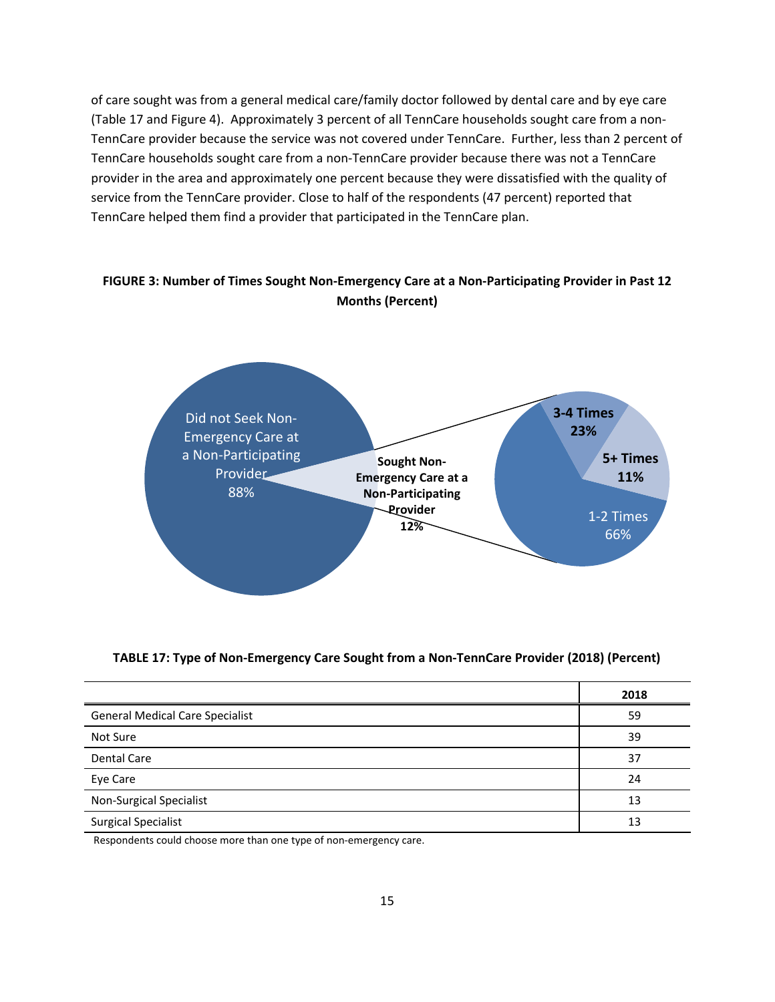of care sought was from a general medical care/family doctor followed by dental care and by eye care (Table 17 and Figure 4). Approximately 3 percent of all TennCare households sought care from a non‐ TennCare provider because the service was not covered under TennCare. Further, less than 2 percent of TennCare households sought care from a non‐TennCare provider because there was not a TennCare provider in the area and approximately one percent because they were dissatisfied with the quality of service from the TennCare provider. Close to half of the respondents (47 percent) reported that TennCare helped them find a provider that participated in the TennCare plan.

#### FIGURE 3: Number of Times Sought Non-Emergency Care at a Non-Participating Provider in Past 12 **Months (Percent)**



#### **TABLE 17: Type of Non‐Emergency Care Sought from a Non‐TennCare Provider (2018) (Percent)**

|                                        | 2018 |
|----------------------------------------|------|
| <b>General Medical Care Specialist</b> | 59   |
| Not Sure                               | 39   |
| <b>Dental Care</b>                     | 37   |
| Eye Care                               | 24   |
| <b>Non-Surgical Specialist</b>         | 13   |
| <b>Surgical Specialist</b>             | 13   |

Respondents could choose more than one type of non-emergency care.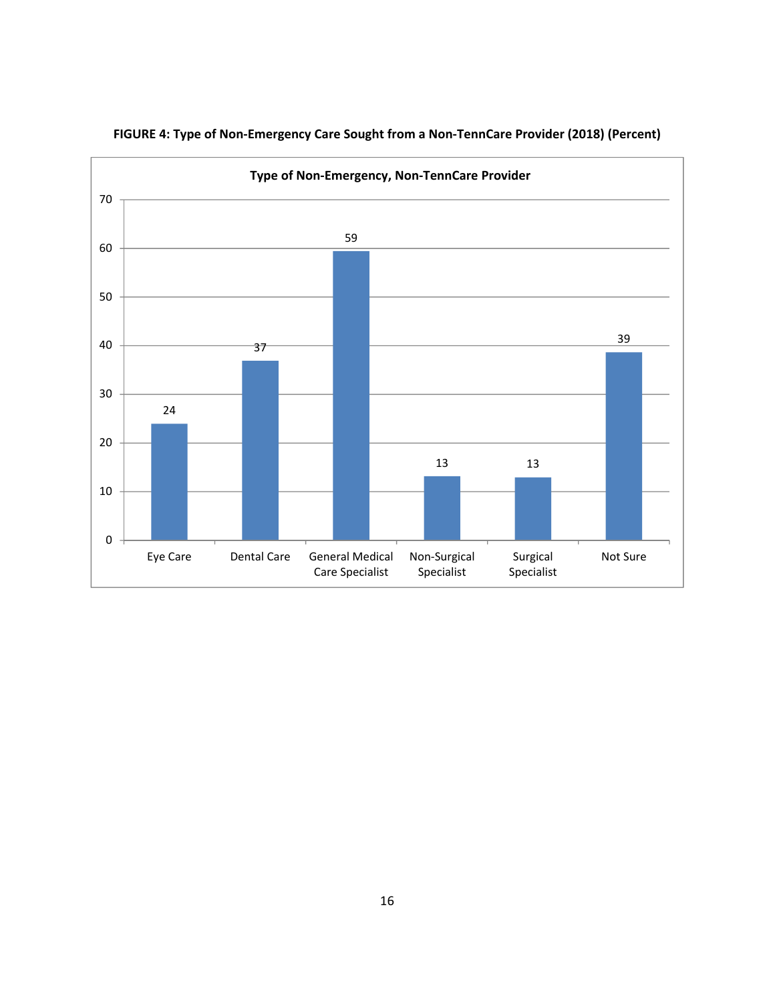

#### **FIGURE 4: Type of Non‐Emergency Care Sought from a Non‐TennCare Provider (2018) (Percent)**